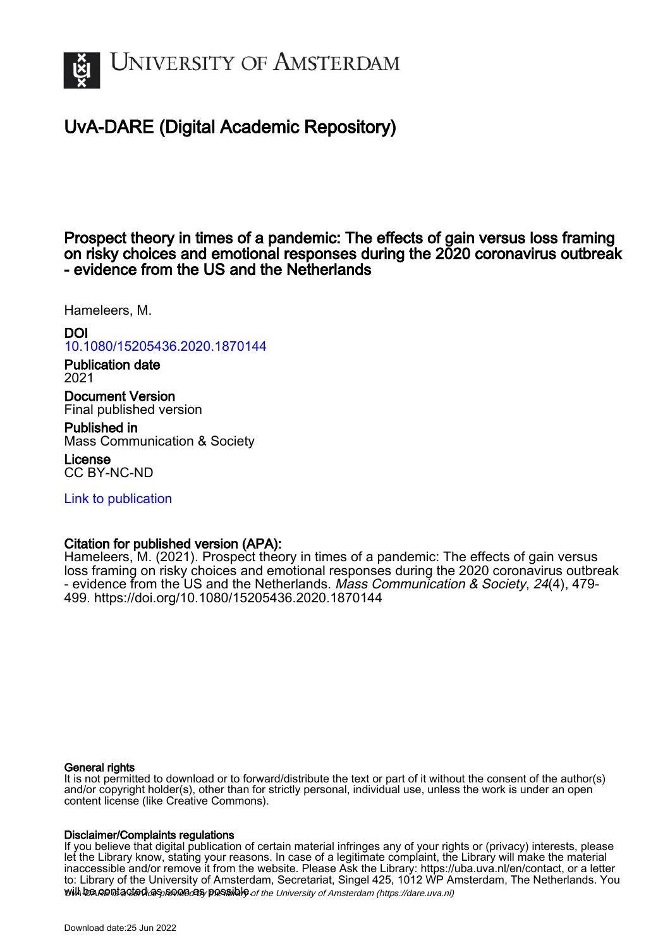

# UvA-DARE (Digital Academic Repository)

Prospect theory in times of a pandemic: The effects of gain versus loss framing on risky choices and emotional responses during the 2020 coronavirus outbreak - evidence from the US and the Netherlands

Hameleers, M.

DOI [10.1080/15205436.2020.1870144](https://doi.org/10.1080/15205436.2020.1870144) Publication date 2021

Document Version Final published version

Published in Mass Communication & Society

License CC BY-NC-ND

[Link to publication](https://dare.uva.nl/personal/pure/en/publications/prospect-theory-in-times-of-a-pandemic-the-effects-of-gain-versus-loss-framing-on-risky-choices-and-emotional-responses-during-the-2020-coronavirus-outbreak--evidence-from-the-us-and-the-netherlands(592e5961-1ab3-4388-841a-a235876da948).html)

## Citation for published version (APA):

Hameleers, M. (2021). Prospect theory in times of a pandemic: The effects of gain versus loss framing on risky choices and emotional responses during the 2020 coronavirus outbreak - evidence from the US and the Netherlands. Mass Communication & Society, 24(4), 479- 499. <https://doi.org/10.1080/15205436.2020.1870144>

## General rights

It is not permitted to download or to forward/distribute the text or part of it without the consent of the author(s) and/or copyright holder(s), other than for strictly personal, individual use, unless the work is under an open content license (like Creative Commons).

#### Disclaimer/Complaints regulations

will be contacted as sontacty pessible of the University of Amsterdam (https://dare.uva.nl) If you believe that digital publication of certain material infringes any of your rights or (privacy) interests, please let the Library know, stating your reasons. In case of a legitimate complaint, the Library will make the material inaccessible and/or remove it from the website. Please Ask the Library: https://uba.uva.nl/en/contact, or a letter to: Library of the University of Amsterdam, Secretariat, Singel 425, 1012 WP Amsterdam, The Netherlands. You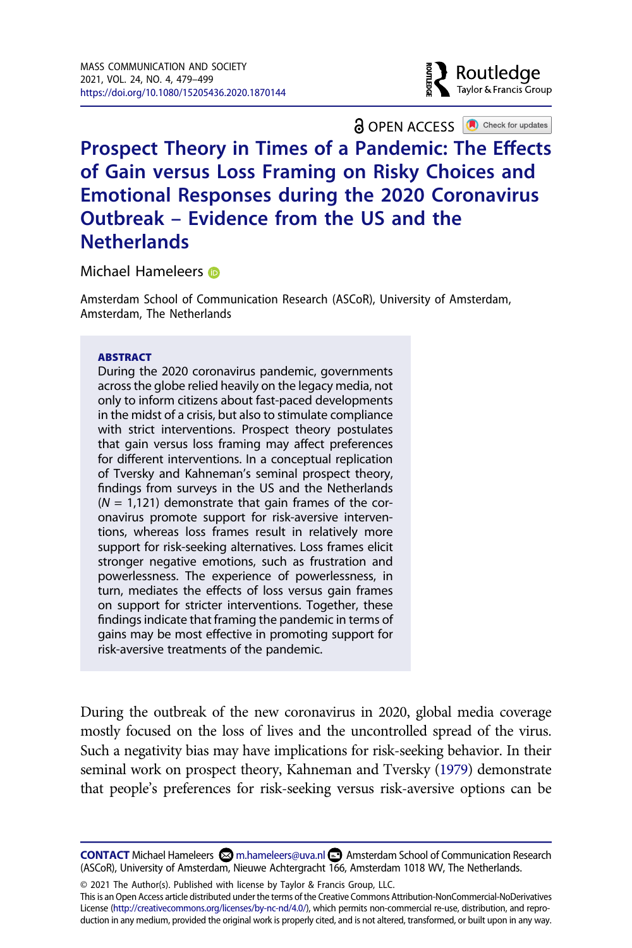

**a** OPEN ACCESS **a** Check for updates

# **Prospect Theory in Times of a Pandemic: The Effects of Gain versus Loss Framing on Risky Choices and Emotional Responses during the 2020 Coronavirus Outbreak – Evidence from the US and the Netherlands**

Michael Hameleer[s](http://orcid.org/0000-0002-8038-5005) **®** 

Amsterdam School of Communication Research (ASCoR), University of Amsterdam, Amsterdam, The Netherlands

#### **ABSTRACT**

During the 2020 coronavirus pandemic, governments across the globe relied heavily on the legacy media, not only to inform citizens about fast-paced developments in the midst of a crisis, but also to stimulate compliance with strict interventions. Prospect theory postulates that gain versus loss framing may affect preferences for different interventions. In a conceptual replication of Tversky and Kahneman's seminal prospect theory, findings from surveys in the US and the Netherlands  $(N = 1,121)$  demonstrate that gain frames of the coronavirus promote support for risk-aversive interventions, whereas loss frames result in relatively more support for risk-seeking alternatives. Loss frames elicit stronger negative emotions, such as frustration and powerlessness. The experience of powerlessness, in turn, mediates the effects of loss versus gain frames on support for stricter interventions. Together, these findings indicate that framing the pandemic in terms of gains may be most effective in promoting support for risk-aversive treatments of the pandemic.

<span id="page-1-0"></span>During the outbreak of the new coronavirus in 2020, global media coverage mostly focused on the loss of lives and the uncontrolled spread of the virus. Such a negativity bias may have implications for risk-seeking behavior. In their seminal work on prospect theory, Kahneman and Tversky [\(1979\)](#page-20-0) demonstrate that people's preferences for risk-seeking versus risk-aversive options can be

**CONTACT** Michael Hameleers  $\boxtimes$  m.hameleers@uva.nl  $\textcircled{\textsc{}}$  Amsterdam School of Communication Research (ASCoR), University of Amsterdam, Nieuwe Achtergracht 166, Amsterdam 1018 WV, The Netherlands.

© 2021 The Author(s). Published with license by Taylor & Francis Group, LLC.

This is an Open Access article distributed under the terms of the Creative Commons Attribution-NonCommercial-NoDerivatives License (http://creativecommons.org/licenses/by-nc-nd/4.0/), which permits non-commercial re-use, distribution, and reproduction in any medium, provided the original work is properly cited, and is not altered, transformed, or built upon in any way.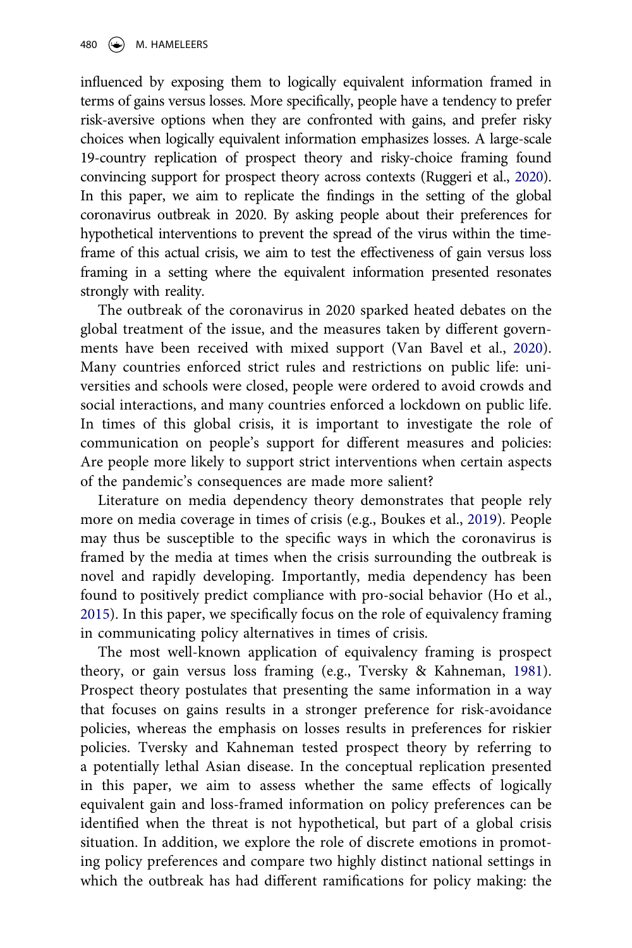<span id="page-2-2"></span>influenced by exposing them to logically equivalent information framed in terms of gains versus losses. More specifically, people have a tendency to prefer risk-aversive options when they are confronted with gains, and prefer risky choices when logically equivalent information emphasizes losses. A large-scale 19-country replication of prospect theory and risky-choice framing found convincing support for prospect theory across contexts (Ruggeri et al., [2020](#page-21-0)). In this paper, we aim to replicate the findings in the setting of the global coronavirus outbreak in 2020. By asking people about their preferences for hypothetical interventions to prevent the spread of the virus within the timeframe of this actual crisis, we aim to test the effectiveness of gain versus loss framing in a setting where the equivalent information presented resonates strongly with reality.

<span id="page-2-4"></span>The outbreak of the coronavirus in 2020 sparked heated debates on the global treatment of the issue, and the measures taken by different governments have been received with mixed support (Van Bavel et al., [2020](#page-21-1)). Many countries enforced strict rules and restrictions on public life: universities and schools were closed, people were ordered to avoid crowds and social interactions, and many countries enforced a lockdown on public life. In times of this global crisis, it is important to investigate the role of communication on people's support for different measures and policies: Are people more likely to support strict interventions when certain aspects of the pandemic's consequences are made more salient?

<span id="page-2-0"></span>Literature on media dependency theory demonstrates that people rely more on media coverage in times of crisis (e.g., Boukes et al., [2019\)](#page-19-0). People may thus be susceptible to the specific ways in which the coronavirus is framed by the media at times when the crisis surrounding the outbreak is novel and rapidly developing. Importantly, media dependency has been found to positively predict compliance with pro-social behavior (Ho et al., [2015](#page-20-1)). In this paper, we specifically focus on the role of equivalency framing in communicating policy alternatives in times of crisis.

<span id="page-2-3"></span><span id="page-2-1"></span>The most well-known application of equivalency framing is prospect theory, or gain versus loss framing (e.g., Tversky & Kahneman, [1981](#page-21-2)). Prospect theory postulates that presenting the same information in a way that focuses on gains results in a stronger preference for risk-avoidance policies, whereas the emphasis on losses results in preferences for riskier policies. Tversky and Kahneman tested prospect theory by referring to a potentially lethal Asian disease. In the conceptual replication presented in this paper, we aim to assess whether the same effects of logically equivalent gain and loss-framed information on policy preferences can be identified when the threat is not hypothetical, but part of a global crisis situation. In addition, we explore the role of discrete emotions in promoting policy preferences and compare two highly distinct national settings in which the outbreak has had different ramifications for policy making: the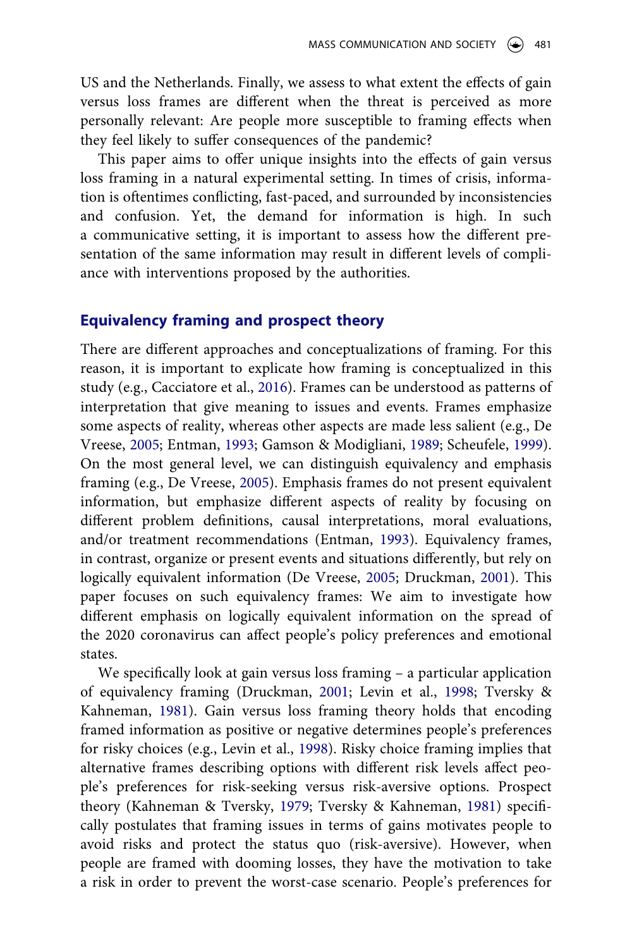US and the Netherlands. Finally, we assess to what extent the effects of gain versus loss frames are different when the threat is perceived as more personally relevant: Are people more susceptible to framing effects when they feel likely to suffer consequences of the pandemic?

This paper aims to offer unique insights into the effects of gain versus loss framing in a natural experimental setting. In times of crisis, information is oftentimes conflicting, fast-paced, and surrounded by inconsistencies and confusion. Yet, the demand for information is high. In such a communicative setting, it is important to assess how the different presentation of the same information may result in different levels of compliance with interventions proposed by the authorities.

#### **Equivalency framing and prospect theory**

<span id="page-3-4"></span><span id="page-3-0"></span>There are different approaches and conceptualizations of framing. For this reason, it is important to explicate how framing is conceptualized in this study (e.g., Cacciatore et al., [2016](#page-19-1)). Frames can be understood as patterns of interpretation that give meaning to issues and events. Frames emphasize some aspects of reality, whereas other aspects are made less salient (e.g., De Vreese, [2005;](#page-19-2) Entman, [1993;](#page-20-2) Gamson & Modigliani, [1989](#page-20-3); Scheufele, [1999](#page-21-3)). On the most general level, we can distinguish equivalency and emphasis framing (e.g., De Vreese, [2005\)](#page-19-2). Emphasis frames do not present equivalent information, but emphasize different aspects of reality by focusing on different problem definitions, causal interpretations, moral evaluations, and/or treatment recommendations (Entman, [1993\)](#page-20-2). Equivalency frames, in contrast, organize or present events and situations differently, but rely on logically equivalent information (De Vreese, [2005](#page-19-2); Druckman, [2001\)](#page-20-4). This paper focuses on such equivalency frames: We aim to investigate how different emphasis on logically equivalent information on the spread of the 2020 coronavirus can affect people's policy preferences and emotional states.

<span id="page-3-5"></span><span id="page-3-3"></span><span id="page-3-2"></span><span id="page-3-1"></span>We specifically look at gain versus loss framing – a particular application of equivalency framing (Druckman, [2001](#page-20-4); Levin et al., [1998;](#page-20-5) Tversky & Kahneman, [1981\)](#page-21-2). Gain versus loss framing theory holds that encoding framed information as positive or negative determines people's preferences for risky choices (e.g., Levin et al., [1998](#page-20-5)). Risky choice framing implies that alternative frames describing options with different risk levels affect people's preferences for risk-seeking versus risk-aversive options. Prospect theory (Kahneman & Tversky, [1979](#page-20-0); Tversky & Kahneman, [1981](#page-21-2)) specifically postulates that framing issues in terms of gains motivates people to avoid risks and protect the status quo (risk-aversive). However, when people are framed with dooming losses, they have the motivation to take a risk in order to prevent the worst-case scenario. People's preferences for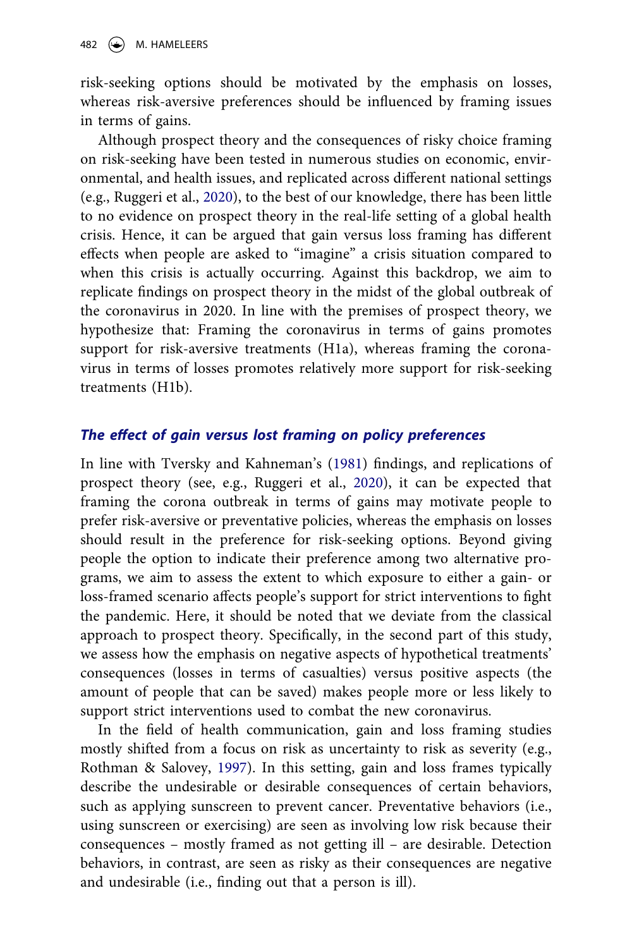risk-seeking options should be motivated by the emphasis on losses, whereas risk-aversive preferences should be influenced by framing issues in terms of gains.

Although prospect theory and the consequences of risky choice framing on risk-seeking have been tested in numerous studies on economic, environmental, and health issues, and replicated across different national settings (e.g., Ruggeri et al., [2020](#page-21-0)), to the best of our knowledge, there has been little to no evidence on prospect theory in the real-life setting of a global health crisis. Hence, it can be argued that gain versus loss framing has different effects when people are asked to "imagine" a crisis situation compared to when this crisis is actually occurring. Against this backdrop, we aim to replicate findings on prospect theory in the midst of the global outbreak of the coronavirus in 2020. In line with the premises of prospect theory, we hypothesize that: Framing the coronavirus in terms of gains promotes support for risk-aversive treatments (H1a), whereas framing the coronavirus in terms of losses promotes relatively more support for risk-seeking treatments (H1b).

## *The effect of gain versus lost framing on policy preferences*

In line with Tversky and Kahneman's ([1981\)](#page-21-2) findings, and replications of prospect theory (see, e.g., Ruggeri et al., [2020\)](#page-21-0), it can be expected that framing the corona outbreak in terms of gains may motivate people to prefer risk-aversive or preventative policies, whereas the emphasis on losses should result in the preference for risk-seeking options. Beyond giving people the option to indicate their preference among two alternative programs, we aim to assess the extent to which exposure to either a gain- or loss-framed scenario affects people's support for strict interventions to fight the pandemic. Here, it should be noted that we deviate from the classical approach to prospect theory. Specifically, in the second part of this study, we assess how the emphasis on negative aspects of hypothetical treatments' consequences (losses in terms of casualties) versus positive aspects (the amount of people that can be saved) makes people more or less likely to support strict interventions used to combat the new coronavirus.

<span id="page-4-0"></span>In the field of health communication, gain and loss framing studies mostly shifted from a focus on risk as uncertainty to risk as severity (e.g., Rothman & Salovey, [1997\)](#page-21-4). In this setting, gain and loss frames typically describe the undesirable or desirable consequences of certain behaviors, such as applying sunscreen to prevent cancer. Preventative behaviors (i.e., using sunscreen or exercising) are seen as involving low risk because their consequences – mostly framed as not getting ill – are desirable. Detection behaviors, in contrast, are seen as risky as their consequences are negative and undesirable (i.e., finding out that a person is ill).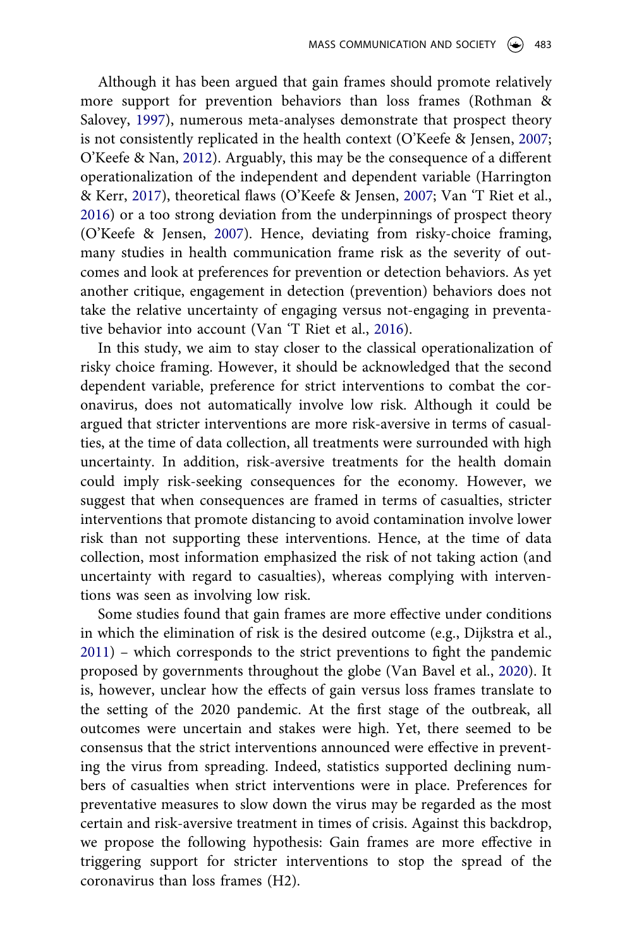<span id="page-5-3"></span><span id="page-5-1"></span>Although it has been argued that gain frames should promote relatively more support for prevention behaviors than loss frames (Rothman & Salovey, [1997\)](#page-21-4), numerous meta-analyses demonstrate that prospect theory is not consistently replicated in the health context (O'Keefe & Jensen, [2007;](#page-21-5) O'Keefe & Nan, [2012](#page-21-6)). Arguably, this may be the consequence of a different operationalization of the independent and dependent variable (Harrington & Kerr, [2017](#page-20-6)), theoretical flaws (O'Keefe & Jensen, [2007](#page-21-5); Van 'T Riet et al., [2016](#page-21-7)) or a too strong deviation from the underpinnings of prospect theory (O'Keefe & Jensen, [2007\)](#page-21-5). Hence, deviating from risky-choice framing, many studies in health communication frame risk as the severity of outcomes and look at preferences for prevention or detection behaviors. As yet another critique, engagement in detection (prevention) behaviors does not take the relative uncertainty of engaging versus not-engaging in preventative behavior into account (Van 'T Riet et al., [2016\)](#page-21-7).

<span id="page-5-4"></span><span id="page-5-2"></span>In this study, we aim to stay closer to the classical operationalization of risky choice framing. However, it should be acknowledged that the second dependent variable, preference for strict interventions to combat the coronavirus, does not automatically involve low risk. Although it could be argued that stricter interventions are more risk-aversive in terms of casualties, at the time of data collection, all treatments were surrounded with high uncertainty. In addition, risk-aversive treatments for the health domain could imply risk-seeking consequences for the economy. However, we suggest that when consequences are framed in terms of casualties, stricter interventions that promote distancing to avoid contamination involve lower risk than not supporting these interventions. Hence, at the time of data collection, most information emphasized the risk of not taking action (and uncertainty with regard to casualties), whereas complying with interventions was seen as involving low risk.

<span id="page-5-0"></span>Some studies found that gain frames are more effective under conditions in which the elimination of risk is the desired outcome (e.g., Dijkstra et al., [2011](#page-20-7)) – which corresponds to the strict preventions to fight the pandemic proposed by governments throughout the globe (Van Bavel et al., [2020\)](#page-21-1). It is, however, unclear how the effects of gain versus loss frames translate to the setting of the 2020 pandemic. At the first stage of the outbreak, all outcomes were uncertain and stakes were high. Yet, there seemed to be consensus that the strict interventions announced were effective in preventing the virus from spreading. Indeed, statistics supported declining numbers of casualties when strict interventions were in place. Preferences for preventative measures to slow down the virus may be regarded as the most certain and risk-aversive treatment in times of crisis. Against this backdrop, we propose the following hypothesis: Gain frames are more effective in triggering support for stricter interventions to stop the spread of the coronavirus than loss frames (H2).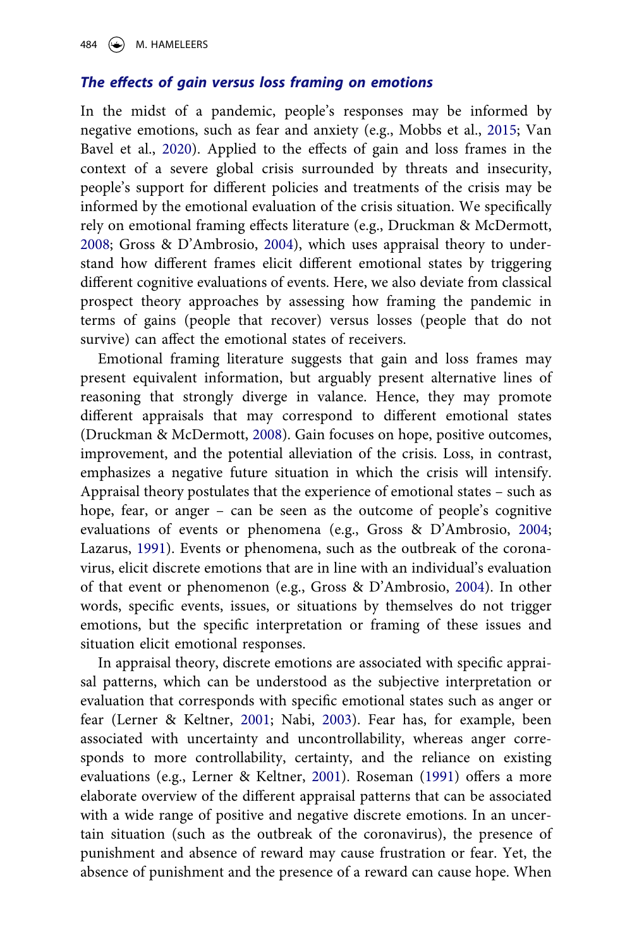### *The effects of gain versus loss framing on emotions*

<span id="page-6-4"></span>In the midst of a pandemic, people's responses may be informed by negative emotions, such as fear and anxiety (e.g., Mobbs et al., [2015](#page-21-8); Van Bavel et al., [2020](#page-21-1)). Applied to the effects of gain and loss frames in the context of a severe global crisis surrounded by threats and insecurity, people's support for different policies and treatments of the crisis may be informed by the emotional evaluation of the crisis situation. We specifically rely on emotional framing effects literature (e.g., Druckman & McDermott, [2008](#page-20-8); Gross & D'Ambrosio, [2004\)](#page-20-9), which uses appraisal theory to understand how different frames elicit different emotional states by triggering different cognitive evaluations of events. Here, we also deviate from classical prospect theory approaches by assessing how framing the pandemic in terms of gains (people that recover) versus losses (people that do not survive) can affect the emotional states of receivers.

<span id="page-6-0"></span>Emotional framing literature suggests that gain and loss frames may present equivalent information, but arguably present alternative lines of reasoning that strongly diverge in valance. Hence, they may promote different appraisals that may correspond to different emotional states (Druckman & McDermott, [2008\)](#page-20-8). Gain focuses on hope, positive outcomes, improvement, and the potential alleviation of the crisis. Loss, in contrast, emphasizes a negative future situation in which the crisis will intensify. Appraisal theory postulates that the experience of emotional states – such as hope, fear, or anger – can be seen as the outcome of people's cognitive evaluations of events or phenomena (e.g., Gross & D'Ambrosio, [2004;](#page-20-9) Lazarus, [1991](#page-20-10)). Events or phenomena, such as the outbreak of the coronavirus, elicit discrete emotions that are in line with an individual's evaluation of that event or phenomenon (e.g., Gross & D'Ambrosio, [2004](#page-20-9)). In other words, specific events, issues, or situations by themselves do not trigger emotions, but the specific interpretation or framing of these issues and situation elicit emotional responses.

<span id="page-6-5"></span><span id="page-6-3"></span><span id="page-6-2"></span><span id="page-6-1"></span>In appraisal theory, discrete emotions are associated with specific appraisal patterns, which can be understood as the subjective interpretation or evaluation that corresponds with specific emotional states such as anger or fear (Lerner & Keltner, [2001;](#page-20-11) Nabi, [2003](#page-21-9)). Fear has, for example, been associated with uncertainty and uncontrollability, whereas anger corresponds to more controllability, certainty, and the reliance on existing evaluations (e.g., Lerner & Keltner, [2001](#page-20-11)). Roseman [\(1991\)](#page-21-10) offers a more elaborate overview of the different appraisal patterns that can be associated with a wide range of positive and negative discrete emotions. In an uncertain situation (such as the outbreak of the coronavirus), the presence of punishment and absence of reward may cause frustration or fear. Yet, the absence of punishment and the presence of a reward can cause hope. When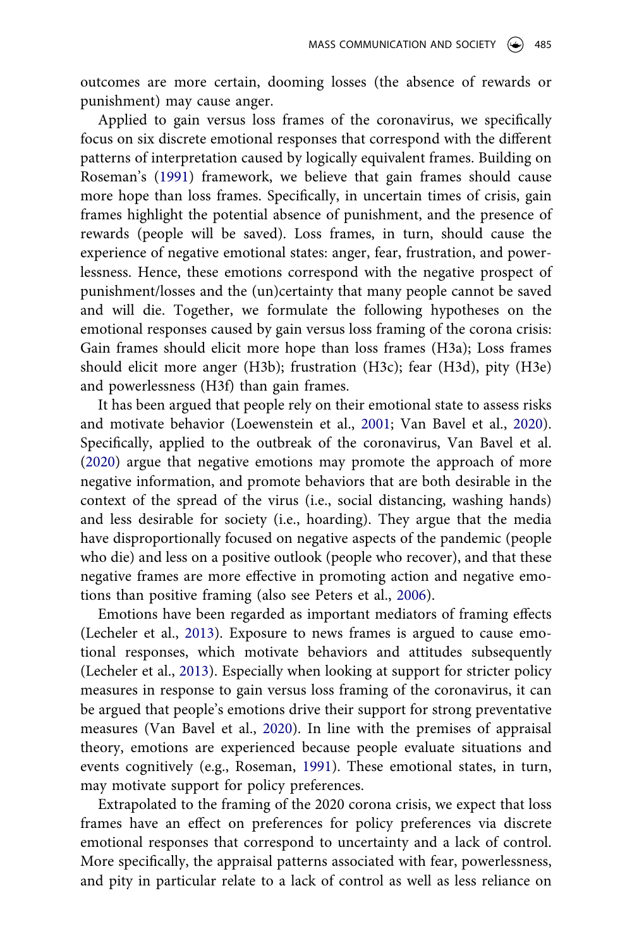outcomes are more certain, dooming losses (the absence of rewards or punishment) may cause anger.

Applied to gain versus loss frames of the coronavirus, we specifically focus on six discrete emotional responses that correspond with the different patterns of interpretation caused by logically equivalent frames. Building on Roseman's ([1991](#page-21-10)) framework, we believe that gain frames should cause more hope than loss frames. Specifically, in uncertain times of crisis, gain frames highlight the potential absence of punishment, and the presence of rewards (people will be saved). Loss frames, in turn, should cause the experience of negative emotional states: anger, fear, frustration, and powerlessness. Hence, these emotions correspond with the negative prospect of punishment/losses and the (un)certainty that many people cannot be saved and will die. Together, we formulate the following hypotheses on the emotional responses caused by gain versus loss framing of the corona crisis: Gain frames should elicit more hope than loss frames (H3a); Loss frames should elicit more anger (H3b); frustration (H3c); fear (H3d), pity (H3e) and powerlessness (H3f) than gain frames.

<span id="page-7-1"></span>It has been argued that people rely on their emotional state to assess risks and motivate behavior (Loewenstein et al., [2001;](#page-20-12) Van Bavel et al., [2020](#page-21-1)). Specifically, applied to the outbreak of the coronavirus, Van Bavel et al. ([2020\)](#page-21-1) argue that negative emotions may promote the approach of more negative information, and promote behaviors that are both desirable in the context of the spread of the virus (i.e., social distancing, washing hands) and less desirable for society (i.e., hoarding). They argue that the media have disproportionally focused on negative aspects of the pandemic (people who die) and less on a positive outlook (people who recover), and that these negative frames are more effective in promoting action and negative emotions than positive framing (also see Peters et al., [2006](#page-21-11)).

<span id="page-7-2"></span><span id="page-7-0"></span>Emotions have been regarded as important mediators of framing effects (Lecheler et al., [2013](#page-20-13)). Exposure to news frames is argued to cause emotional responses, which motivate behaviors and attitudes subsequently (Lecheler et al., [2013\)](#page-20-13). Especially when looking at support for stricter policy measures in response to gain versus loss framing of the coronavirus, it can be argued that people's emotions drive their support for strong preventative measures (Van Bavel et al., [2020\)](#page-21-1). In line with the premises of appraisal theory, emotions are experienced because people evaluate situations and events cognitively (e.g., Roseman, [1991\)](#page-21-10). These emotional states, in turn, may motivate support for policy preferences.

Extrapolated to the framing of the 2020 corona crisis, we expect that loss frames have an effect on preferences for policy preferences via discrete emotional responses that correspond to uncertainty and a lack of control. More specifically, the appraisal patterns associated with fear, powerlessness, and pity in particular relate to a lack of control as well as less reliance on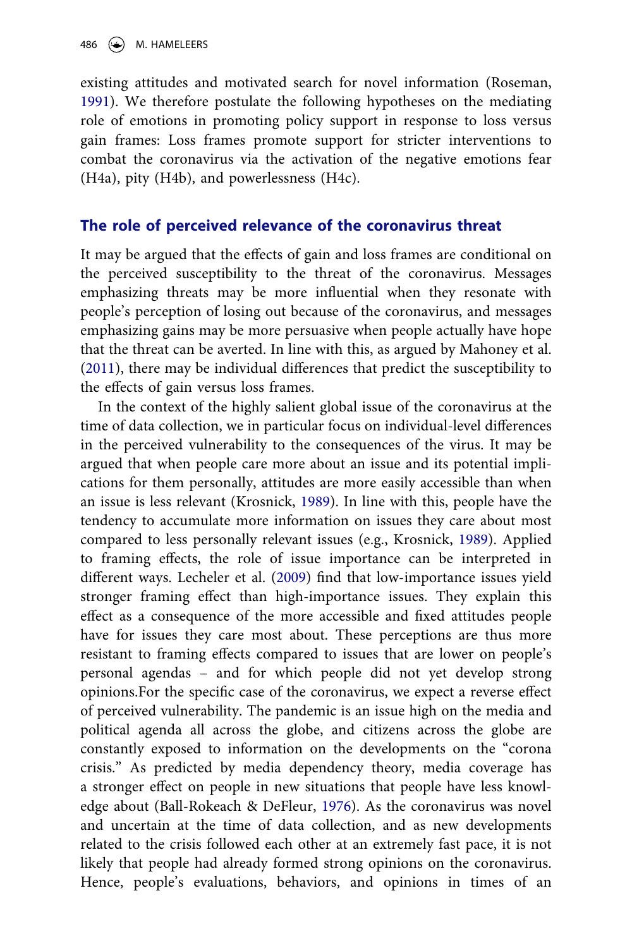existing attitudes and motivated search for novel information (Roseman, [1991](#page-21-10)). We therefore postulate the following hypotheses on the mediating role of emotions in promoting policy support in response to loss versus gain frames: Loss frames promote support for stricter interventions to combat the coronavirus via the activation of the negative emotions fear (H4a), pity (H4b), and powerlessness (H4c).

#### **The role of perceived relevance of the coronavirus threat**

It may be argued that the effects of gain and loss frames are conditional on the perceived susceptibility to the threat of the coronavirus. Messages emphasizing threats may be more influential when they resonate with people's perception of losing out because of the coronavirus, and messages emphasizing gains may be more persuasive when people actually have hope that the threat can be averted. In line with this, as argued by Mahoney et al. ([2011\)](#page-21-12), there may be individual differences that predict the susceptibility to the effects of gain versus loss frames.

<span id="page-8-3"></span><span id="page-8-2"></span><span id="page-8-1"></span><span id="page-8-0"></span>In the context of the highly salient global issue of the coronavirus at the time of data collection, we in particular focus on individual-level differences in the perceived vulnerability to the consequences of the virus. It may be argued that when people care more about an issue and its potential implications for them personally, attitudes are more easily accessible than when an issue is less relevant (Krosnick, [1989\)](#page-20-14). In line with this, people have the tendency to accumulate more information on issues they care about most compared to less personally relevant issues (e.g., Krosnick, [1989\)](#page-20-14). Applied to framing effects, the role of issue importance can be interpreted in different ways. Lecheler et al. ([2009](#page-20-15)) find that low-importance issues yield stronger framing effect than high-importance issues. They explain this effect as a consequence of the more accessible and fixed attitudes people have for issues they care most about. These perceptions are thus more resistant to framing effects compared to issues that are lower on people's personal agendas – and for which people did not yet develop strong opinions.For the specific case of the coronavirus, we expect a reverse effect of perceived vulnerability. The pandemic is an issue high on the media and political agenda all across the globe, and citizens across the globe are constantly exposed to information on the developments on the "corona crisis." As predicted by media dependency theory, media coverage has a stronger effect on people in new situations that people have less knowledge about (Ball-Rokeach & DeFleur, [1976\)](#page-19-3). As the coronavirus was novel and uncertain at the time of data collection, and as new developments related to the crisis followed each other at an extremely fast pace, it is not likely that people had already formed strong opinions on the coronavirus. Hence, people's evaluations, behaviors, and opinions in times of an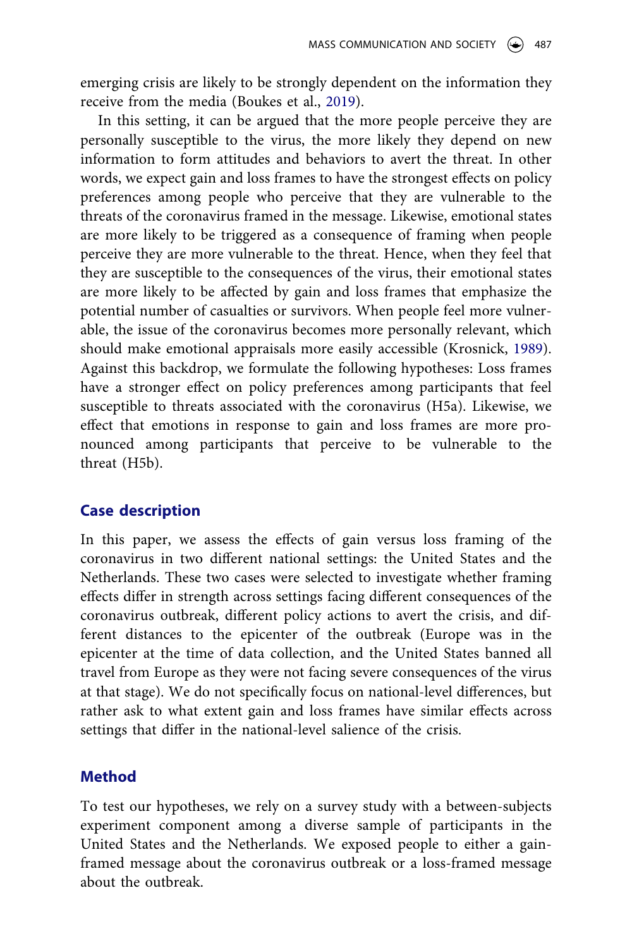emerging crisis are likely to be strongly dependent on the information they receive from the media (Boukes et al., [2019\)](#page-19-0).

In this setting, it can be argued that the more people perceive they are personally susceptible to the virus, the more likely they depend on new information to form attitudes and behaviors to avert the threat. In other words, we expect gain and loss frames to have the strongest effects on policy preferences among people who perceive that they are vulnerable to the threats of the coronavirus framed in the message. Likewise, emotional states are more likely to be triggered as a consequence of framing when people perceive they are more vulnerable to the threat. Hence, when they feel that they are susceptible to the consequences of the virus, their emotional states are more likely to be affected by gain and loss frames that emphasize the potential number of casualties or survivors. When people feel more vulnerable, the issue of the coronavirus becomes more personally relevant, which should make emotional appraisals more easily accessible (Krosnick, [1989](#page-20-14)). Against this backdrop, we formulate the following hypotheses: Loss frames have a stronger effect on policy preferences among participants that feel susceptible to threats associated with the coronavirus (H5a). Likewise, we effect that emotions in response to gain and loss frames are more pronounced among participants that perceive to be vulnerable to the threat (H5b).

## **Case description**

In this paper, we assess the effects of gain versus loss framing of the coronavirus in two different national settings: the United States and the Netherlands. These two cases were selected to investigate whether framing effects differ in strength across settings facing different consequences of the coronavirus outbreak, different policy actions to avert the crisis, and different distances to the epicenter of the outbreak (Europe was in the epicenter at the time of data collection, and the United States banned all travel from Europe as they were not facing severe consequences of the virus at that stage). We do not specifically focus on national-level differences, but rather ask to what extent gain and loss frames have similar effects across settings that differ in the national-level salience of the crisis.

## **Method**

To test our hypotheses, we rely on a survey study with a between-subjects experiment component among a diverse sample of participants in the United States and the Netherlands. We exposed people to either a gainframed message about the coronavirus outbreak or a loss-framed message about the outbreak.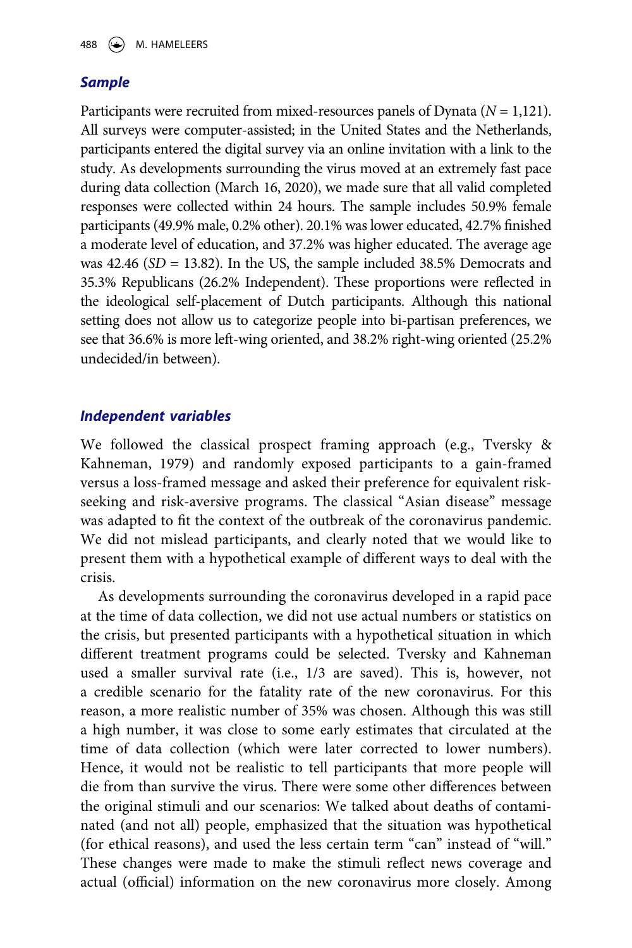## *Sample*

Participants were recruited from mixed-resources panels of Dynata (*N* = 1,121). All surveys were computer-assisted; in the United States and the Netherlands, participants entered the digital survey via an online invitation with a link to the study. As developments surrounding the virus moved at an extremely fast pace during data collection (March 16, 2020), we made sure that all valid completed responses were collected within 24 hours. The sample includes 50.9% female participants (49.9% male, 0.2% other). 20.1% was lower educated, 42.7% finished a moderate level of education, and 37.2% was higher educated. The average age was 42.46 (*SD* = 13.82). In the US, the sample included 38.5% Democrats and 35.3% Republicans (26.2% Independent). These proportions were reflected in the ideological self-placement of Dutch participants. Although this national setting does not allow us to categorize people into bi-partisan preferences, we see that 36.6% is more left-wing oriented, and 38.2% right-wing oriented (25.2% undecided/in between).

## *Independent variables*

We followed the classical prospect framing approach (e.g., Tversky & Kahneman, 1979) and randomly exposed participants to a gain-framed versus a loss-framed message and asked their preference for equivalent riskseeking and risk-aversive programs. The classical "Asian disease" message was adapted to fit the context of the outbreak of the coronavirus pandemic. We did not mislead participants, and clearly noted that we would like to present them with a hypothetical example of different ways to deal with the crisis.

As developments surrounding the coronavirus developed in a rapid pace at the time of data collection, we did not use actual numbers or statistics on the crisis, but presented participants with a hypothetical situation in which different treatment programs could be selected. Tversky and Kahneman used a smaller survival rate (i.e., 1/3 are saved). This is, however, not a credible scenario for the fatality rate of the new coronavirus. For this reason, a more realistic number of 35% was chosen. Although this was still a high number, it was close to some early estimates that circulated at the time of data collection (which were later corrected to lower numbers). Hence, it would not be realistic to tell participants that more people will die from than survive the virus. There were some other differences between the original stimuli and our scenarios: We talked about deaths of contaminated (and not all) people, emphasized that the situation was hypothetical (for ethical reasons), and used the less certain term "can" instead of "will." These changes were made to make the stimuli reflect news coverage and actual (official) information on the new coronavirus more closely. Among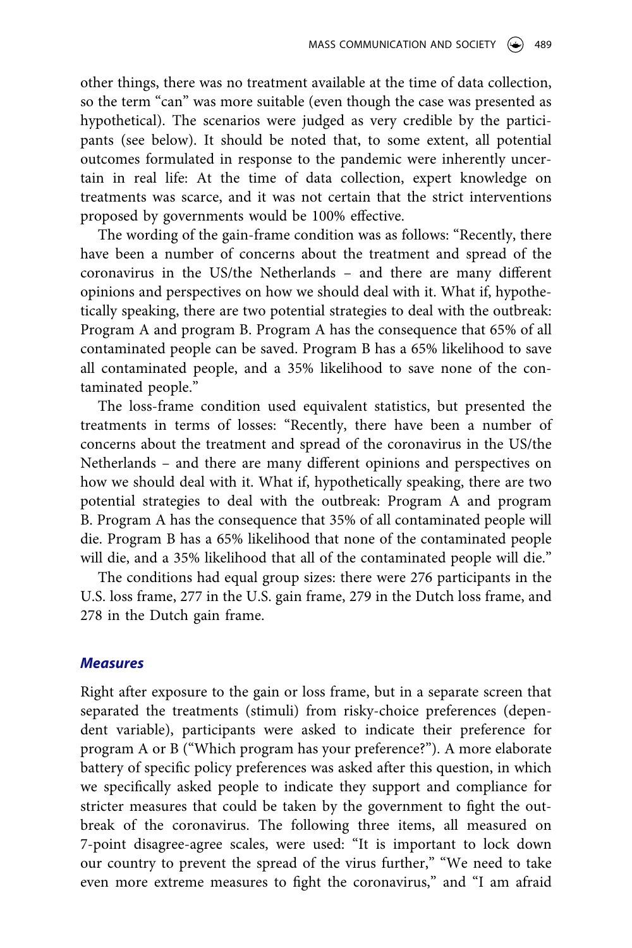other things, there was no treatment available at the time of data collection, so the term "can" was more suitable (even though the case was presented as hypothetical). The scenarios were judged as very credible by the participants (see below). It should be noted that, to some extent, all potential outcomes formulated in response to the pandemic were inherently uncertain in real life: At the time of data collection, expert knowledge on treatments was scarce, and it was not certain that the strict interventions proposed by governments would be 100% effective.

The wording of the gain-frame condition was as follows: "Recently, there have been a number of concerns about the treatment and spread of the coronavirus in the US/the Netherlands – and there are many different opinions and perspectives on how we should deal with it. What if, hypothetically speaking, there are two potential strategies to deal with the outbreak: Program A and program B. Program A has the consequence that 65% of all contaminated people can be saved. Program B has a 65% likelihood to save all contaminated people, and a 35% likelihood to save none of the contaminated people."

The loss-frame condition used equivalent statistics, but presented the treatments in terms of losses: "Recently, there have been a number of concerns about the treatment and spread of the coronavirus in the US/the Netherlands – and there are many different opinions and perspectives on how we should deal with it. What if, hypothetically speaking, there are two potential strategies to deal with the outbreak: Program A and program B. Program A has the consequence that 35% of all contaminated people will die. Program B has a 65% likelihood that none of the contaminated people will die, and a 35% likelihood that all of the contaminated people will die."

The conditions had equal group sizes: there were 276 participants in the U.S. loss frame, 277 in the U.S. gain frame, 279 in the Dutch loss frame, and 278 in the Dutch gain frame.

#### *Measures*

Right after exposure to the gain or loss frame, but in a separate screen that separated the treatments (stimuli) from risky-choice preferences (dependent variable), participants were asked to indicate their preference for program A or B ("Which program has your preference?"). A more elaborate battery of specific policy preferences was asked after this question, in which we specifically asked people to indicate they support and compliance for stricter measures that could be taken by the government to fight the outbreak of the coronavirus. The following three items, all measured on 7-point disagree-agree scales, were used: "It is important to lock down our country to prevent the spread of the virus further," "We need to take even more extreme measures to fight the coronavirus," and "I am afraid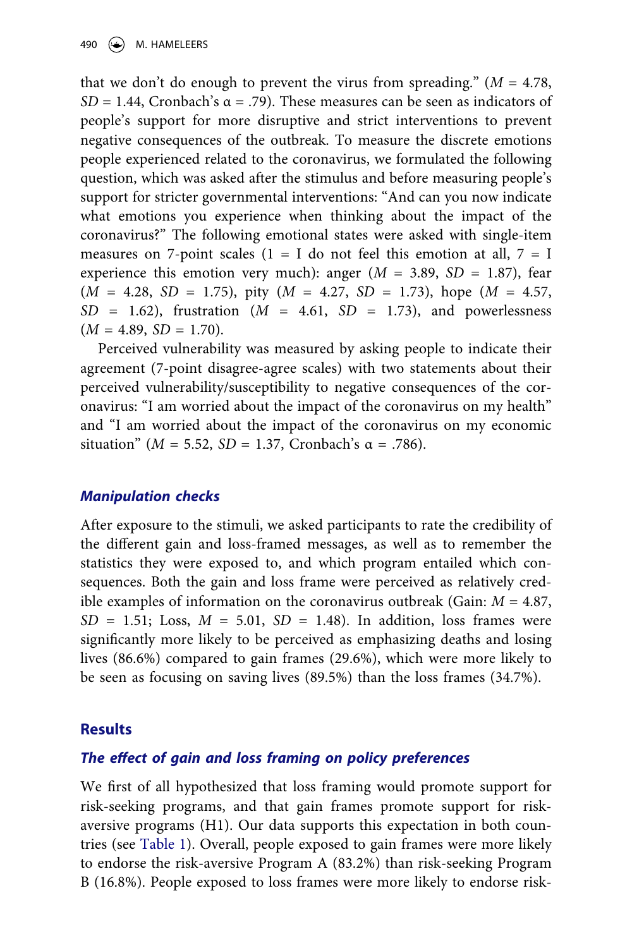that we don't do enough to prevent the virus from spreading."  $(M = 4.78,$ *SD* = 1.44, Cronbach's  $\alpha$  = .79). These measures can be seen as indicators of people's support for more disruptive and strict interventions to prevent negative consequences of the outbreak. To measure the discrete emotions people experienced related to the coronavirus, we formulated the following question, which was asked after the stimulus and before measuring people's support for stricter governmental interventions: "And can you now indicate what emotions you experience when thinking about the impact of the coronavirus?" The following emotional states were asked with single-item measures on 7-point scales ( $1 = I$  do not feel this emotion at all,  $7 = I$ experience this emotion very much): anger  $(M = 3.89, SD = 1.87)$ , fear (*M* = 4.28, *SD* = 1.75), pity (*M* = 4.27, *SD* = 1.73), hope (*M* = 4.57, *SD* = 1.62), frustration (*M* = 4.61, *SD* = 1.73), and powerlessness  $(M = 4.89, SD = 1.70).$ 

Perceived vulnerability was measured by asking people to indicate their agreement (7-point disagree-agree scales) with two statements about their perceived vulnerability/susceptibility to negative consequences of the coronavirus: "I am worried about the impact of the coronavirus on my health" and "I am worried about the impact of the coronavirus on my economic situation" ( $M = 5.52$ ,  $SD = 1.37$ , Cronbach's α = .786).

#### *Manipulation checks*

After exposure to the stimuli, we asked participants to rate the credibility of the different gain and loss-framed messages, as well as to remember the statistics they were exposed to, and which program entailed which consequences. Both the gain and loss frame were perceived as relatively credible examples of information on the coronavirus outbreak (Gain: *M* = 4.87,  $SD = 1.51$ ; Loss,  $M = 5.01$ ,  $SD = 1.48$ ). In addition, loss frames were significantly more likely to be perceived as emphasizing deaths and losing lives (86.6%) compared to gain frames (29.6%), which were more likely to be seen as focusing on saving lives (89.5%) than the loss frames (34.7%).

#### **Results**

#### *The effect of gain and loss framing on policy preferences*

We first of all hypothesized that loss framing would promote support for risk-seeking programs, and that gain frames promote support for riskaversive programs (H1). Our data supports this expectation in both countries (see [Table 1](#page-13-0)). Overall, people exposed to gain frames were more likely to endorse the risk-aversive Program A (83.2%) than risk-seeking Program B (16.8%). People exposed to loss frames were more likely to endorse risk-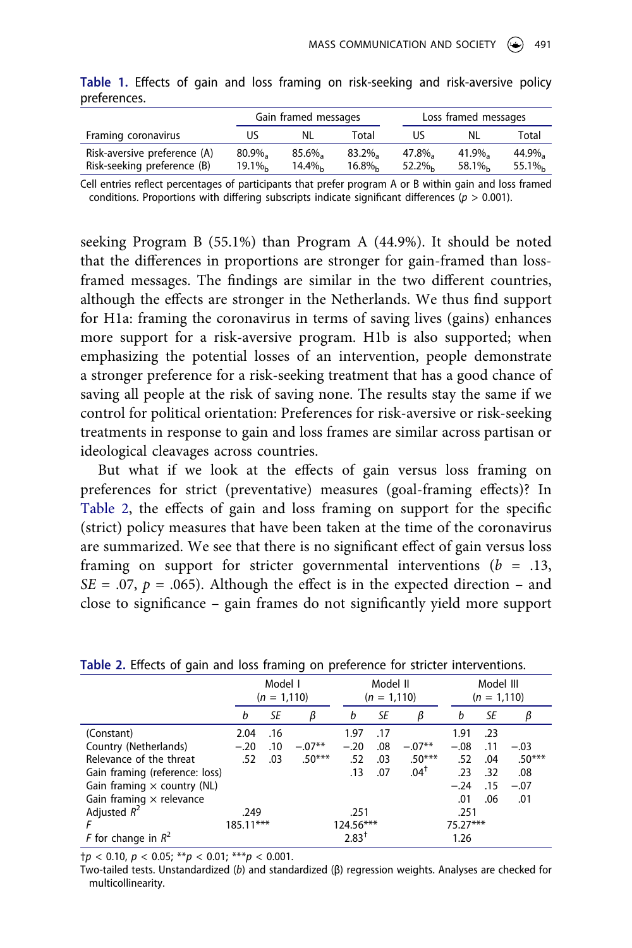|                                                             |                      | Gain framed messages |                      |                      | Loss framed messages           |                |  |  |
|-------------------------------------------------------------|----------------------|----------------------|----------------------|----------------------|--------------------------------|----------------|--|--|
| Framing coronavirus                                         | US                   | NL.                  | Total                | US                   | NL                             | Total          |  |  |
| Risk-aversive preference (A)<br>Risk-seeking preference (B) | $80.9\%$<br>$19.1\%$ | $85.6\%$<br>$14.4\%$ | $83.2\%$<br>$16.8\%$ | $47.8\%$<br>$52.2\%$ | $41.9\%$<br>58.1% <sub>b</sub> | 44.9%<br>55.1% |  |  |

<span id="page-13-0"></span>**Table 1.** Effects of gain and loss framing on risk-seeking and risk-aversive policy preferences.

Cell entries reflect percentages of participants that prefer program A or B within gain and loss framed conditions. Proportions with differing subscripts indicate significant differences (*p* > 0.001).

seeking Program B (55.1%) than Program A (44.9%). It should be noted that the differences in proportions are stronger for gain-framed than lossframed messages. The findings are similar in the two different countries, although the effects are stronger in the Netherlands. We thus find support for H1a: framing the coronavirus in terms of saving lives (gains) enhances more support for a risk-aversive program. H1b is also supported; when emphasizing the potential losses of an intervention, people demonstrate a stronger preference for a risk-seeking treatment that has a good chance of saving all people at the risk of saving none. The results stay the same if we control for political orientation: Preferences for risk-aversive or risk-seeking treatments in response to gain and loss frames are similar across partisan or ideological cleavages across countries.

But what if we look at the effects of gain versus loss framing on preferences for strict (preventative) measures (goal-framing effects)? In [Table 2](#page-13-1), the effects of gain and loss framing on support for the specific (strict) policy measures that have been taken at the time of the coronavirus are summarized. We see that there is no significant effect of gain versus loss framing on support for stricter governmental interventions  $(b = .13, )$ *SE* = .07,  $p = .065$ ). Although the effect is in the expected direction – and close to significance – gain frames do not significantly yield more support

|                                    |             | Model I<br>$(n = 1, 110)$ |          |           | Model II<br>$(n = 1, 110)$ |                 |            | Model III<br>$(n = 1, 110)$ |          |  |
|------------------------------------|-------------|---------------------------|----------|-----------|----------------------------|-----------------|------------|-----------------------------|----------|--|
|                                    | b           | SE                        | β        | b         | SE                         | β               | b          | SE                          | β        |  |
| (Constant)                         | 2.04        | .16                       |          | 1.97      | .17                        |                 | 1.91       | .23                         |          |  |
| Country (Netherlands)              | $-.20$      | .10                       | $-.07**$ | $-.20$    | .08                        | $-.07**$        | $-.08$     | .11                         | $-.03$   |  |
| Relevance of the threat            | .52         | .03                       | $.50***$ | .52       | .03                        | $.50***$        | .52        | .04                         | $.50***$ |  |
| Gain framing (reference: loss)     |             |                           |          | .13       | .07                        | $.04^{\dagger}$ | .23        | .32                         | .08      |  |
| Gain framing $\times$ country (NL) |             |                           |          |           |                            |                 | $-.24$     | .15                         | $-.07$   |  |
| Gain framing $\times$ relevance    |             |                           |          |           |                            |                 | .01        | .06                         | .01      |  |
| Adjusted $R^2$                     | .249        |                           |          | .251      |                            |                 | .251       |                             |          |  |
|                                    | $185.11***$ |                           |          | 124.56*** |                            |                 | $75.27***$ |                             |          |  |
| F for change in $R^2$              |             |                           |          | $2.83^+$  |                            |                 | 1.26       |                             |          |  |

<span id="page-13-1"></span>**Table 2.** Effects of gain and loss framing on preference for stricter interventions.

†*p* < 0.10, *p* < 0.05; \*\**p* < 0.01; \*\*\**p* < 0.001.

Two-tailed tests. Unstandardized (*b*) and standardized (β) regression weights. Analyses are checked for multicollinearity.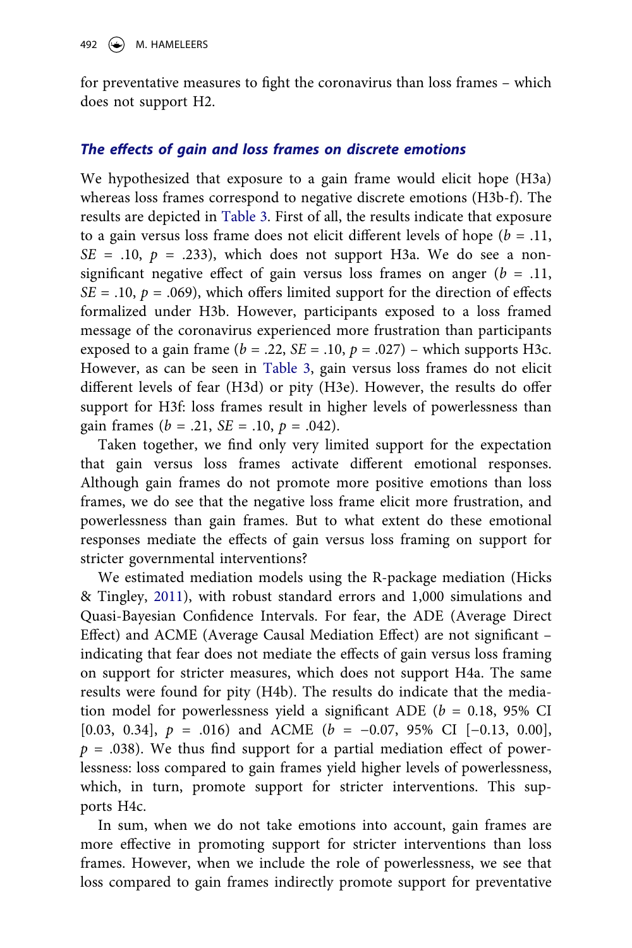for preventative measures to fight the coronavirus than loss frames – which does not support H2.

#### *The effects of gain and loss frames on discrete emotions*

We hypothesized that exposure to a gain frame would elicit hope (H3a) whereas loss frames correspond to negative discrete emotions (H3b-f). The results are depicted in [Table 3.](#page-15-0) First of all, the results indicate that exposure to a gain versus loss frame does not elicit different levels of hope (*b* = .11,  $SE = .10$ ,  $p = .233$ ), which does not support H3a. We do see a nonsignificant negative effect of gain versus loss frames on anger (*b* = .11, *SE* = .10,  $p = .069$ , which offers limited support for the direction of effects formalized under H3b. However, participants exposed to a loss framed message of the coronavirus experienced more frustration than participants exposed to a gain frame ( $b = .22$ ,  $SE = .10$ ,  $p = .027$ ) – which supports H3c. However, as can be seen in [Table 3](#page-15-0), gain versus loss frames do not elicit different levels of fear (H3d) or pity (H3e). However, the results do offer support for H3f: loss frames result in higher levels of powerlessness than gain frames  $(b = .21, SE = .10, p = .042)$ .

Taken together, we find only very limited support for the expectation that gain versus loss frames activate different emotional responses. Although gain frames do not promote more positive emotions than loss frames, we do see that the negative loss frame elicit more frustration, and powerlessness than gain frames. But to what extent do these emotional responses mediate the effects of gain versus loss framing on support for stricter governmental interventions?

<span id="page-14-0"></span>We estimated mediation models using the R-package mediation (Hicks & Tingley, [2011](#page-20-16)), with robust standard errors and 1,000 simulations and Quasi-Bayesian Confidence Intervals. For fear, the ADE (Average Direct Effect) and ACME (Average Causal Mediation Effect) are not significant – indicating that fear does not mediate the effects of gain versus loss framing on support for stricter measures, which does not support H4a. The same results were found for pity (H4b). The results do indicate that the mediation model for powerlessness yield a significant ADE (*b* = 0.18, 95% CI [0.03, 0.34], *p* = .016) and ACME (*b* = −0.07, 95% CI [−0.13, 0.00],  $p = .038$ ). We thus find support for a partial mediation effect of powerlessness: loss compared to gain frames yield higher levels of powerlessness, which, in turn, promote support for stricter interventions. This supports H4c.

In sum, when we do not take emotions into account, gain frames are more effective in promoting support for stricter interventions than loss frames. However, when we include the role of powerlessness, we see that loss compared to gain frames indirectly promote support for preventative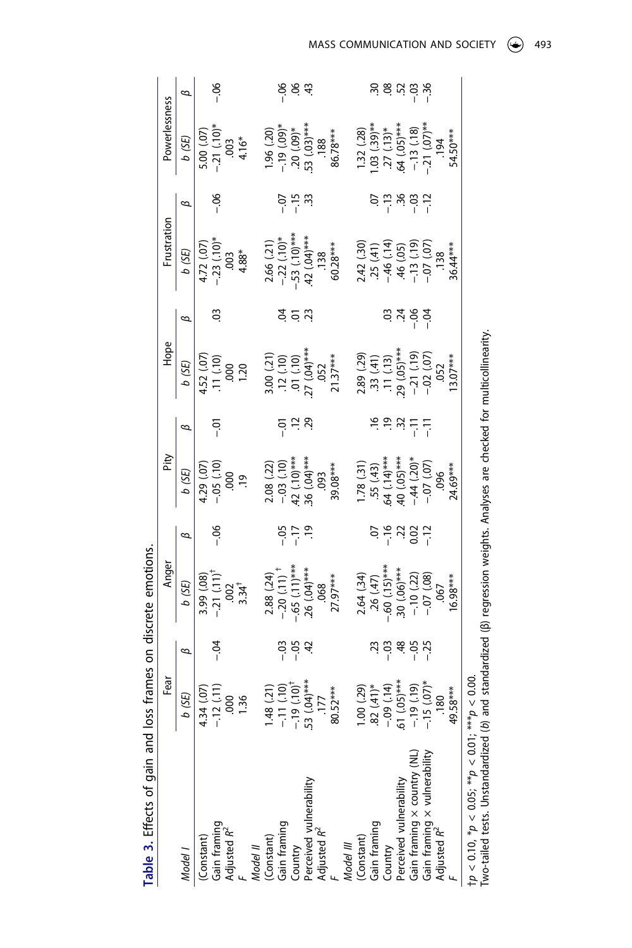<span id="page-15-0"></span>

| Table 3. Effects of gain and                                                                                                                      |                                    |                  | loss frames on discrete emotions.                                                            |                  |                                                                                    |            |                                                                          |         |                                                                                         |                        |                                                                                       |                    |
|---------------------------------------------------------------------------------------------------------------------------------------------------|------------------------------------|------------------|----------------------------------------------------------------------------------------------|------------------|------------------------------------------------------------------------------------|------------|--------------------------------------------------------------------------|---------|-----------------------------------------------------------------------------------------|------------------------|---------------------------------------------------------------------------------------|--------------------|
|                                                                                                                                                   | Fear                               |                  | Anger                                                                                        |                  | Pity                                                                               |            | Hope                                                                     |         | Frustration                                                                             |                        | Powerlessness                                                                         |                    |
| Model I                                                                                                                                           | b (SE)                             | B                | 6 (SE)                                                                                       | B                | b (SE)                                                                             | B          | b (SE)                                                                   | B       | b (SE)                                                                                  | B                      | b (SE)                                                                                | B                  |
| (Constant)<br>Gain framing<br>Adjusted R <sup>2</sup><br>F                                                                                        | 4.34 (.07                          |                  |                                                                                              |                  | 4.29 (.07                                                                          |            | 4.52 (.07                                                                |         | 4.72 (.07                                                                               |                        | 5.00 (.07)                                                                            |                    |
|                                                                                                                                                   | $-12(11)$                          | $-0.4$           | $3.99(0.08)$<br>-21 $(0.11)^+$                                                               | $-06$            | $-0.05(10)$                                                                        | ج<br>⊺     | (11)(10)                                                                 | ප       | $-.23(.10)*$                                                                            | 9م<br>آ                | $-21$ $(10)*$                                                                         | 90 -               |
|                                                                                                                                                   | 000                                |                  |                                                                                              |                  | 000.                                                                               |            |                                                                          |         | 003                                                                                     |                        | $003$<br>4.16*                                                                        |                    |
|                                                                                                                                                   | 1.36                               |                  | $\frac{334}{4}$                                                                              |                  | $\overline{0}$                                                                     |            | 000<br>000                                                               |         | 4.88*                                                                                   |                        |                                                                                       |                    |
| Model II                                                                                                                                          |                                    |                  |                                                                                              |                  |                                                                                    |            |                                                                          |         |                                                                                         |                        |                                                                                       |                    |
|                                                                                                                                                   | 1.48(21)                           |                  | 2.88 (.24)                                                                                   |                  |                                                                                    |            |                                                                          |         | 2.66 (.21)                                                                              |                        | 1.96 (.20)                                                                            |                    |
|                                                                                                                                                   |                                    |                  |                                                                                              |                  | $2.08$ (.22)<br>-0.3 (.10)<br>-42 (.10)***<br>36 (.04)***                          | $-0.1$     |                                                                          |         |                                                                                         |                        | $-19$ (.09)*<br>20 (.09)*                                                             |                    |
|                                                                                                                                                   | $-11(0)$<br>$-19(10)^{\dagger}$    |                  |                                                                                              | 역 그 영<br>이 기     |                                                                                    | $\ddot{c}$ |                                                                          |         |                                                                                         | ي۔<br>-                |                                                                                       | र्ड द              |
|                                                                                                                                                   |                                    |                  | $-20$ $(11)^+$<br>$-65$ $(11)***$<br>$26$ $(04)***$                                          |                  |                                                                                    | 55         |                                                                          | 5 g     | $-22$ (.10)*<br>$-53$ (.10)***<br>.42 (.04)***                                          |                        | 53 (.03)**                                                                            |                    |
| (Constant)<br>Gain framing<br>Country<br>Perceived wilnerability<br>Adjusted ନ <sup>2</sup>                                                       | $.53$ (.04)***<br>.177<br>80.52*** |                  |                                                                                              |                  |                                                                                    |            | $3.00 (21)$<br>$.12 (10)$<br>$.01 (10)$<br>$27 (04)$<br>$.052$<br>$2137$ |         |                                                                                         |                        | .188                                                                                  |                    |
|                                                                                                                                                   |                                    |                  | $.068$<br>27.97***                                                                           |                  | $.093$<br>39.08***                                                                 |            |                                                                          |         | $.138$<br>60.28***                                                                      |                        | 86.78***                                                                              |                    |
| Model III                                                                                                                                         |                                    |                  |                                                                                              |                  |                                                                                    |            |                                                                          |         |                                                                                         |                        |                                                                                       |                    |
| (Constant)<br>Gain framing<br>Country<br>Perceived vulnerability<br>Gain framing x country (NL)<br>Gain framing x vulnerability<br>Adjusted $R^2$ | $(62)$ $(00.1)$                    |                  | $2.64 (3.4)$<br>$.26 (4.7)$<br>$-60 (1.5)***$<br>$30 (0.6)***$<br>$-10 (2.2)$<br>$-10 (2.2)$ |                  |                                                                                    |            |                                                                          |         |                                                                                         |                        | 1.32(.28)                                                                             |                    |
|                                                                                                                                                   | $-(41)^{*}$                        | S                |                                                                                              | Š                |                                                                                    |            |                                                                          |         |                                                                                         |                        |                                                                                       |                    |
|                                                                                                                                                   | $-0.09(14)$                        | $-0.03$          |                                                                                              | $-16$            |                                                                                    | $\ddot{6}$ |                                                                          |         |                                                                                         |                        |                                                                                       |                    |
|                                                                                                                                                   | $61 (0.05)$ ***                    |                  |                                                                                              |                  | 1.78 (.31)<br>.55 (.43)<br>.64 (.14)***<br>.40 (.05)***<br>.44 (.20)*<br>.07 (.07) | Ϋ́         | 2.89 (.29)<br>33 (.41)<br>33 (.41)<br>39 (.05)<br>-21 (.19)<br>-21 (.07) |         | $2.42$ (.30)<br>$.25$ (.41)<br>$-46$ (.14)<br>$-46$ (.05)<br>$-13$ (.19)<br>$-07$ (.07) | ី » ៩ = -<br>- - - - - | 1.03 $(.39)$ **<br>.27 $(.13)$ *<br>.64 $(.05)$ ***<br>.-.13 $(.18)$<br>.-.13 $(.18)$ | ង ទូ ដូ ដូ ដូ<br>ម |
|                                                                                                                                                   | $-19(19)$                          | بن أن<br># as as |                                                                                              | $\frac{22}{100}$ |                                                                                    | Ξ          |                                                                          | ಸ್ತ ಕ್ಷ |                                                                                         |                        |                                                                                       |                    |
|                                                                                                                                                   | $-.15(0.07)$                       |                  |                                                                                              | <u>بـ</u>        |                                                                                    | 두          |                                                                          |         |                                                                                         |                        |                                                                                       |                    |
|                                                                                                                                                   | .180                               |                  | .067                                                                                         |                  | 096                                                                                |            | .052                                                                     |         | .138                                                                                    |                        | .194                                                                                  |                    |
|                                                                                                                                                   | 49.58***                           |                  | $6.98***$                                                                                    |                  | $24.69***$                                                                         |            | $3.07***$                                                                |         | 36.44***                                                                                |                        | $54.50***$                                                                            |                    |
| $tp < 0.10, *p < 0.05; **p < 0.01;$                                                                                                               | $0.00 < b_{\ast\ast\ast}$          |                  |                                                                                              |                  |                                                                                    |            |                                                                          |         |                                                                                         |                        |                                                                                       |                    |

MASS COMMUNICATION AND SOCIETY  $\circledast$  493

Two-tailed tests. Unstandardized (*b*) and standardized (β) regression weights. Analyses are checked for multicollinearity.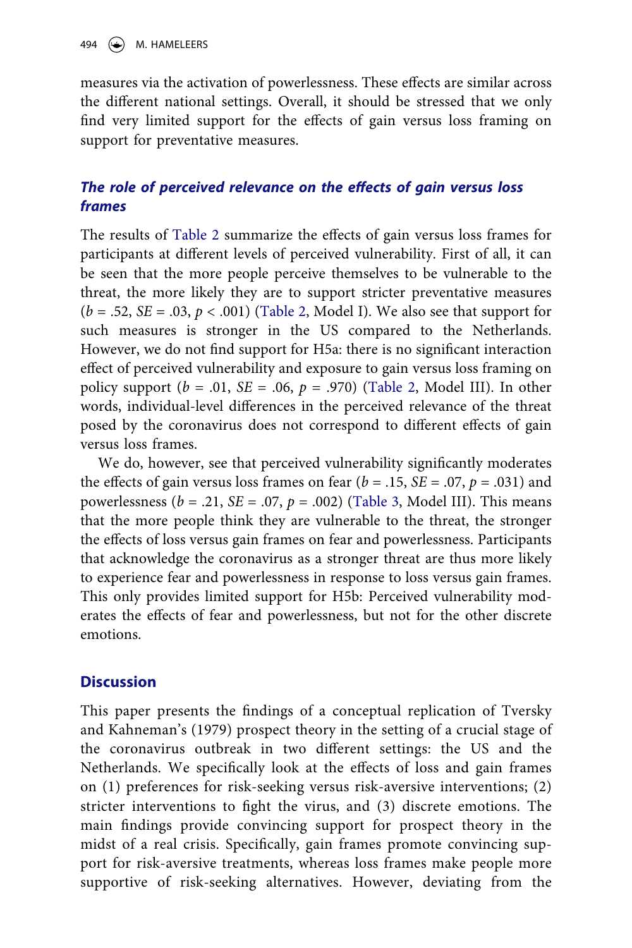measures via the activation of powerlessness. These effects are similar across the different national settings. Overall, it should be stressed that we only find very limited support for the effects of gain versus loss framing on support for preventative measures.

## *The role of perceived relevance on the effects of gain versus loss frames*

The results of [Table 2](#page-13-1) summarize the effects of gain versus loss frames for participants at different levels of perceived vulnerability. First of all, it can be seen that the more people perceive themselves to be vulnerable to the threat, the more likely they are to support stricter preventative measures (*b* = .52, *SE* = .03, *p* < .001) ([Table 2](#page-13-1), Model I). We also see that support for such measures is stronger in the US compared to the Netherlands. However, we do not find support for H5a: there is no significant interaction effect of perceived vulnerability and exposure to gain versus loss framing on policy support ( $b = .01$ ,  $SE = .06$ ,  $p = .970$ ) ([Table 2,](#page-13-1) Model III). In other words, individual-level differences in the perceived relevance of the threat posed by the coronavirus does not correspond to different effects of gain versus loss frames.

We do, however, see that perceived vulnerability significantly moderates the effects of gain versus loss frames on fear  $(b = .15, SE = .07, p = .031)$  and powerlessness (*b* = .21, *SE* = .07, *p* = .002) [\(Table 3,](#page-15-0) Model III). This means that the more people think they are vulnerable to the threat, the stronger the effects of loss versus gain frames on fear and powerlessness. Participants that acknowledge the coronavirus as a stronger threat are thus more likely to experience fear and powerlessness in response to loss versus gain frames. This only provides limited support for H5b: Perceived vulnerability moderates the effects of fear and powerlessness, but not for the other discrete emotions.

## **Discussion**

This paper presents the findings of a conceptual replication of Tversky and Kahneman's (1979) prospect theory in the setting of a crucial stage of the coronavirus outbreak in two different settings: the US and the Netherlands. We specifically look at the effects of loss and gain frames on (1) preferences for risk-seeking versus risk-aversive interventions; (2) stricter interventions to fight the virus, and (3) discrete emotions. The main findings provide convincing support for prospect theory in the midst of a real crisis. Specifically, gain frames promote convincing support for risk-aversive treatments, whereas loss frames make people more supportive of risk-seeking alternatives. However, deviating from the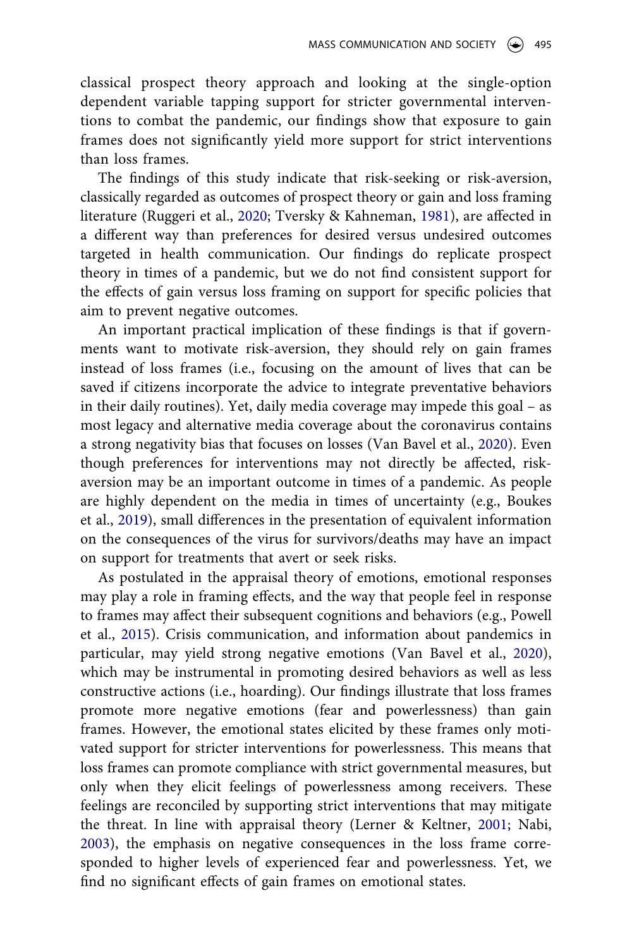classical prospect theory approach and looking at the single-option dependent variable tapping support for stricter governmental interventions to combat the pandemic, our findings show that exposure to gain frames does not significantly yield more support for strict interventions than loss frames.

The findings of this study indicate that risk-seeking or risk-aversion, classically regarded as outcomes of prospect theory or gain and loss framing literature (Ruggeri et al., [2020;](#page-21-0) Tversky & Kahneman, [1981\)](#page-21-2), are affected in a different way than preferences for desired versus undesired outcomes targeted in health communication. Our findings do replicate prospect theory in times of a pandemic, but we do not find consistent support for the effects of gain versus loss framing on support for specific policies that aim to prevent negative outcomes.

An important practical implication of these findings is that if governments want to motivate risk-aversion, they should rely on gain frames instead of loss frames (i.e., focusing on the amount of lives that can be saved if citizens incorporate the advice to integrate preventative behaviors in their daily routines). Yet, daily media coverage may impede this goal – as most legacy and alternative media coverage about the coronavirus contains a strong negativity bias that focuses on losses (Van Bavel et al., [2020](#page-21-1)). Even though preferences for interventions may not directly be affected, riskaversion may be an important outcome in times of a pandemic. As people are highly dependent on the media in times of uncertainty (e.g., Boukes et al., [2019\)](#page-19-0), small differences in the presentation of equivalent information on the consequences of the virus for survivors/deaths may have an impact on support for treatments that avert or seek risks.

<span id="page-17-0"></span>As postulated in the appraisal theory of emotions, emotional responses may play a role in framing effects, and the way that people feel in response to frames may affect their subsequent cognitions and behaviors (e.g., Powell et al., [2015\)](#page-21-13). Crisis communication, and information about pandemics in particular, may yield strong negative emotions (Van Bavel et al., [2020](#page-21-1)), which may be instrumental in promoting desired behaviors as well as less constructive actions (i.e., hoarding). Our findings illustrate that loss frames promote more negative emotions (fear and powerlessness) than gain frames. However, the emotional states elicited by these frames only motivated support for stricter interventions for powerlessness. This means that loss frames can promote compliance with strict governmental measures, but only when they elicit feelings of powerlessness among receivers. These feelings are reconciled by supporting strict interventions that may mitigate the threat. In line with appraisal theory (Lerner & Keltner, [2001;](#page-20-11) Nabi, [2003](#page-21-9)), the emphasis on negative consequences in the loss frame corresponded to higher levels of experienced fear and powerlessness. Yet, we find no significant effects of gain frames on emotional states.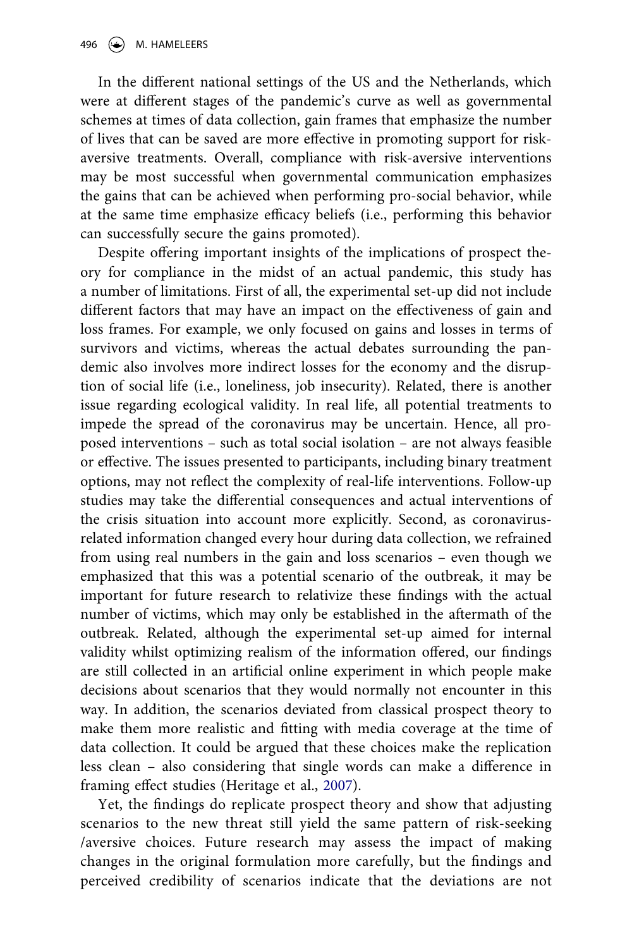In the different national settings of the US and the Netherlands, which were at different stages of the pandemic's curve as well as governmental schemes at times of data collection, gain frames that emphasize the number of lives that can be saved are more effective in promoting support for riskaversive treatments. Overall, compliance with risk-aversive interventions may be most successful when governmental communication emphasizes the gains that can be achieved when performing pro-social behavior, while at the same time emphasize efficacy beliefs (i.e., performing this behavior can successfully secure the gains promoted).

Despite offering important insights of the implications of prospect theory for compliance in the midst of an actual pandemic, this study has a number of limitations. First of all, the experimental set-up did not include different factors that may have an impact on the effectiveness of gain and loss frames. For example, we only focused on gains and losses in terms of survivors and victims, whereas the actual debates surrounding the pandemic also involves more indirect losses for the economy and the disruption of social life (i.e., loneliness, job insecurity). Related, there is another issue regarding ecological validity. In real life, all potential treatments to impede the spread of the coronavirus may be uncertain. Hence, all proposed interventions – such as total social isolation – are not always feasible or effective. The issues presented to participants, including binary treatment options, may not reflect the complexity of real-life interventions. Follow-up studies may take the differential consequences and actual interventions of the crisis situation into account more explicitly. Second, as coronavirusrelated information changed every hour during data collection, we refrained from using real numbers in the gain and loss scenarios – even though we emphasized that this was a potential scenario of the outbreak, it may be important for future research to relativize these findings with the actual number of victims, which may only be established in the aftermath of the outbreak. Related, although the experimental set-up aimed for internal validity whilst optimizing realism of the information offered, our findings are still collected in an artificial online experiment in which people make decisions about scenarios that they would normally not encounter in this way. In addition, the scenarios deviated from classical prospect theory to make them more realistic and fitting with media coverage at the time of data collection. It could be argued that these choices make the replication less clean – also considering that single words can make a difference in framing effect studies (Heritage et al., [2007](#page-20-17)).

<span id="page-18-0"></span>Yet, the findings do replicate prospect theory and show that adjusting scenarios to the new threat still yield the same pattern of risk-seeking /aversive choices. Future research may assess the impact of making changes in the original formulation more carefully, but the findings and perceived credibility of scenarios indicate that the deviations are not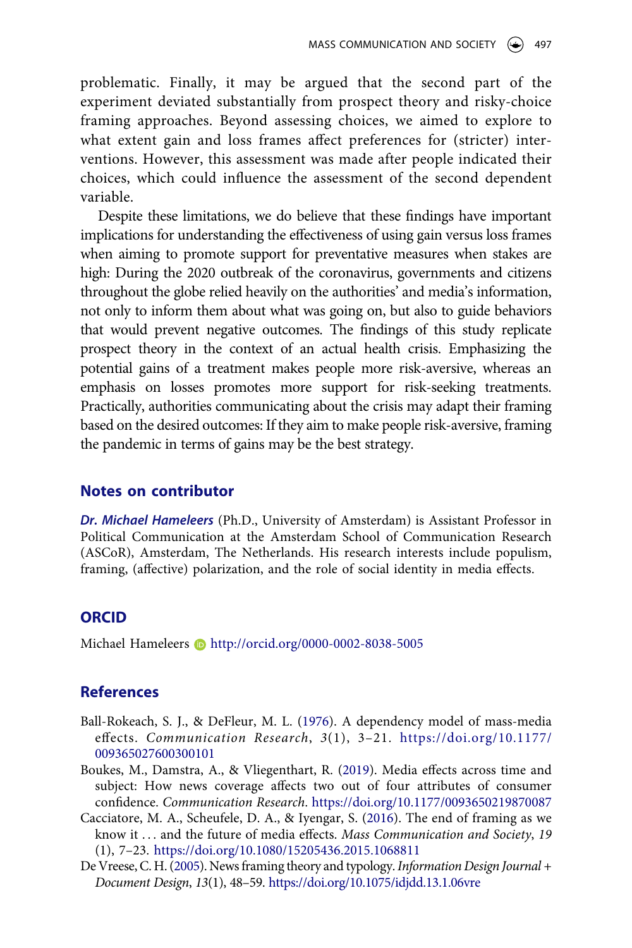problematic. Finally, it may be argued that the second part of the experiment deviated substantially from prospect theory and risky-choice framing approaches. Beyond assessing choices, we aimed to explore to what extent gain and loss frames affect preferences for (stricter) interventions. However, this assessment was made after people indicated their choices, which could influence the assessment of the second dependent variable.

Despite these limitations, we do believe that these findings have important implications for understanding the effectiveness of using gain versus loss frames when aiming to promote support for preventative measures when stakes are high: During the 2020 outbreak of the coronavirus, governments and citizens throughout the globe relied heavily on the authorities' and media's information, not only to inform them about what was going on, but also to guide behaviors that would prevent negative outcomes. The findings of this study replicate prospect theory in the context of an actual health crisis. Emphasizing the potential gains of a treatment makes people more risk-aversive, whereas an emphasis on losses promotes more support for risk-seeking treatments. Practically, authorities communicating about the crisis may adapt their framing based on the desired outcomes: If they aim to make people risk-aversive, framing the pandemic in terms of gains may be the best strategy.

### **Notes on contributor**

*Dr. Michael Hameleers* (Ph.D., University of Amsterdam) is Assistant Professor in Political Communication at the Amsterdam School of Communication Research (ASCoR), Amsterdam, The Netherlands. His research interests include populism, framing, (affective) polarization, and the role of social identity in media effects.

## **ORCID**

Michael Hameleers **http://orcid.org/0000-0002-8038-5005** 

## **References**

- <span id="page-19-3"></span>Ball-Rokeach, S. J., & DeFleur, M. L. ([1976\)](#page-8-0). A dependency model of mass-media effects. *Communication Research*, *3*(1), 3–21. [https://doi.org/10.1177/](https://doi.org/10.1177/009365027600300101)  [009365027600300101](https://doi.org/10.1177/009365027600300101)
- <span id="page-19-0"></span>Boukes, M., Damstra, A., & Vliegenthart, R. [\(2019](#page-2-0)). Media effects across time and subject: How news coverage affects two out of four attributes of consumer confidence. *Communication Research*. <https://doi.org/10.1177/0093650219870087>
- <span id="page-19-1"></span>Cacciatore, M. A., Scheufele, D. A., & Iyengar, S. ([2016\)](#page-3-0). The end of framing as we know it . . . and the future of media effects. *Mass Communication and Society*, *19*  (1), 7–23. <https://doi.org/10.1080/15205436.2015.1068811>
- <span id="page-19-2"></span>De Vreese, C. H. [\(2005](#page-3-1)). News framing theory and typology. *Information Design Journal + Document Design*, *13*(1), 48–59. <https://doi.org/10.1075/idjdd.13.1.06vre>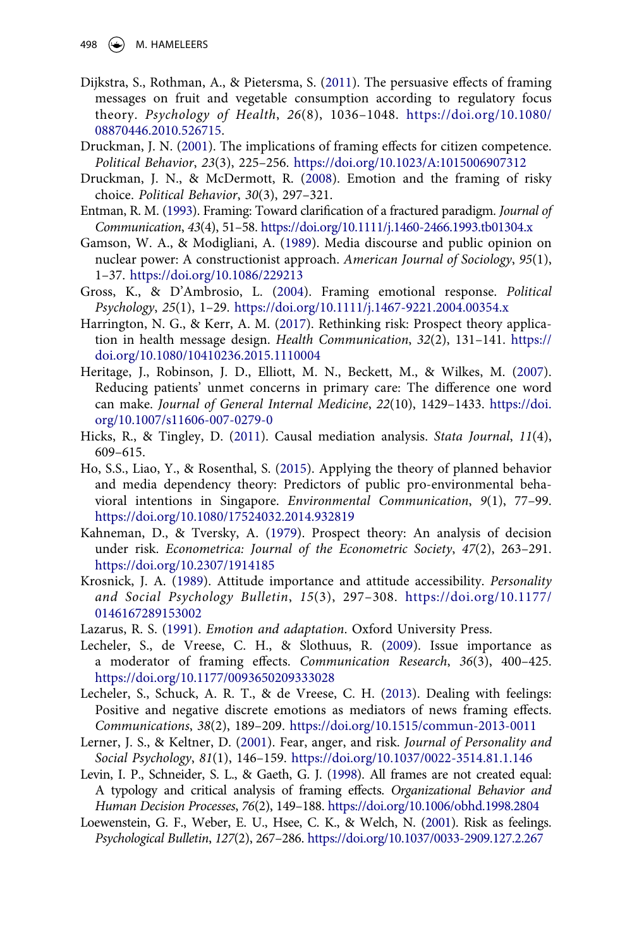- <span id="page-20-7"></span>Dijkstra, S., Rothman, A., & Pietersma, S. [\(2011\)](#page-5-0). The persuasive effects of framing messages on fruit and vegetable consumption according to regulatory focus theory. *Psychology of Health*, *26*(8), 1036–1048. [https://doi.org/10.1080/](https://doi.org/10.1080/08870446.2010.526715) [08870446.2010.526715](https://doi.org/10.1080/08870446.2010.526715).
- <span id="page-20-4"></span>Druckman, J. N. [\(2001](#page-3-2)). The implications of framing effects for citizen competence. *Political Behavior*, *23*(3), 225–256. <https://doi.org/10.1023/A:1015006907312>
- <span id="page-20-8"></span>Druckman, J. N., & McDermott, R. ([2008](#page-6-0)). Emotion and the framing of risky choice. *Political Behavior*, *30*(3), 297–321.
- <span id="page-20-2"></span>Entman, R. M. [\(1993\)](#page-3-3). Framing: Toward clarification of a fractured paradigm. *Journal of Communication*, *43*(4), 51–58.<https://doi.org/10.1111/j.1460-2466.1993.tb01304.x>
- <span id="page-20-3"></span>Gamson, W. A., & Modigliani, A. ([1989\)](#page-3-4). Media discourse and public opinion on nuclear power: A constructionist approach. *American Journal of Sociology*, *95*(1), 1–37. <https://doi.org/10.1086/229213>
- <span id="page-20-9"></span>Gross, K., & D'Ambrosio, L. [\(2004\)](#page-6-1). Framing emotional response. *Political Psychology*, *25*(1), 1–29. <https://doi.org/10.1111/j.1467-9221.2004.00354.x>
- <span id="page-20-6"></span>Harrington, N. G., & Kerr, A. M. ([2017](#page-5-1)). Rethinking risk: Prospect theory application in health message design. *Health Communication*, *32*(2), 131–141. [https://](https://doi.org/10.1080/10410236.2015.1110004) [doi.org/10.1080/10410236.2015.1110004](https://doi.org/10.1080/10410236.2015.1110004)
- <span id="page-20-17"></span>Heritage, J., Robinson, J. D., Elliott, M. N., Beckett, M., & Wilkes, M. [\(2007\)](#page-18-0). Reducing patients' unmet concerns in primary care: The difference one word can make. *Journal of General Internal Medicine*, *22*(10), 1429–1433. [https://doi.](https://doi.org/10.1007/s11606-007-0279-0) [org/10.1007/s11606-007-0279-0](https://doi.org/10.1007/s11606-007-0279-0)
- <span id="page-20-16"></span>Hicks, R., & Tingley, D. ([2011](#page-14-0)). Causal mediation analysis. *Stata Journal*, *11*(4), 609–615.
- <span id="page-20-1"></span>Ho, S.S., Liao, Y., & Rosenthal, S. [\(2015\)](#page-2-1). Applying the theory of planned behavior and media dependency theory: Predictors of public pro-environmental behavioral intentions in Singapore. *Environmental Communication*, *9*(1), 77–99. <https://doi.org/10.1080/17524032.2014.932819>
- <span id="page-20-0"></span>Kahneman, D., & Tversky, A. ([1979\)](#page-1-0). Prospect theory: An analysis of decision under risk. *Econometrica: Journal of the Econometric Society*, *47*(2), 263–291. <https://doi.org/10.2307/1914185>
- <span id="page-20-14"></span>Krosnick, J. A. ([1989\)](#page-8-1). Attitude importance and attitude accessibility. *Personality and Social Psychology Bulletin*, *15*(3), 297–308. [https://doi.org/10.1177/](https://doi.org/10.1177/0146167289153002) [0146167289153002](https://doi.org/10.1177/0146167289153002)
- <span id="page-20-10"></span>Lazarus, R. S. [\(1991](#page-6-2)). *Emotion and adaptation*. Oxford University Press.
- <span id="page-20-15"></span>Lecheler, S., de Vreese, C. H., & Slothuus, R. [\(2009](#page-8-2)). Issue importance as a moderator of framing effects. *Communication Research*, *36*(3), 400–425. <https://doi.org/10.1177/0093650209333028>
- <span id="page-20-13"></span>Lecheler, S., Schuck, A. R. T., & de Vreese, C. H. ([2013\)](#page-7-0). Dealing with feelings: Positive and negative discrete emotions as mediators of news framing effects. *Communications*, *38*(2), 189–209. <https://doi.org/10.1515/commun-2013-0011>
- <span id="page-20-11"></span>Lerner, J. S., & Keltner, D. [\(2001\)](#page-6-3). Fear, anger, and risk. *Journal of Personality and Social Psychology*, *81*(1), 146–159. <https://doi.org/10.1037/0022-3514.81.1.146>
- <span id="page-20-5"></span>Levin, I. P., Schneider, S. L., & Gaeth, G. J. ([1998](#page-3-5)). All frames are not created equal: A typology and critical analysis of framing effects. *Organizational Behavior and Human Decision Processes*, *76*(2), 149–188. <https://doi.org/10.1006/obhd.1998.2804>
- <span id="page-20-12"></span>Loewenstein, G. F., Weber, E. U., Hsee, C. K., & Welch, N. [\(2001](#page-7-1)). Risk as feelings. *Psychological Bulletin*, *127*(2), 267–286. <https://doi.org/10.1037/0033-2909.127.2.267>